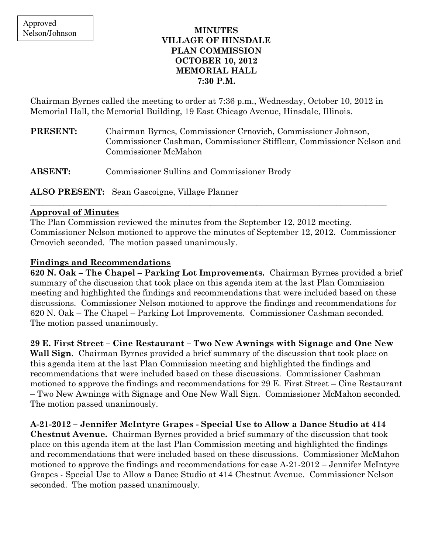### MINUTES VILLAGE OF HINSDALE PLAN COMMISSION OCTOBER 10, 2012 MEMORIAL HALL 7:30 P.M.

Chairman Byrnes called the meeting to order at 7:36 p.m., Wednesday, October 10, 2012 in Memorial Hall, the Memorial Building, 19 East Chicago Avenue, Hinsdale, Illinois.

| <b>PRESENT:</b> | Chairman Byrnes, Commissioner Crnovich, Commissioner Johnson,         |
|-----------------|-----------------------------------------------------------------------|
|                 | Commissioner Cashman, Commissioner Stifflear, Commissioner Nelson and |
|                 | Commissioner McMahon                                                  |
|                 |                                                                       |

ABSENT: Commissioner Sullins and Commissioner Brody

ALSO PRESENT: Sean Gascoigne, Village Planner

#### Approval of Minutes

The Plan Commission reviewed the minutes from the September 12, 2012 meeting. Commissioner Nelson motioned to approve the minutes of September 12, 2012. Commissioner Crnovich seconded. The motion passed unanimously.

\_\_\_\_\_\_\_\_\_\_\_\_\_\_\_\_\_\_\_\_\_\_\_\_\_\_\_\_\_\_\_\_\_\_\_\_\_\_\_\_\_\_\_\_\_\_\_\_\_\_\_\_\_\_\_\_\_\_\_\_\_\_\_\_\_\_\_\_\_\_\_\_\_\_\_\_\_\_\_\_\_\_\_\_\_

## Findings and Recommendations

620 N. Oak – The Chapel – Parking Lot Improvements. Chairman Byrnes provided a brief summary of the discussion that took place on this agenda item at the last Plan Commission meeting and highlighted the findings and recommendations that were included based on these discussions. Commissioner Nelson motioned to approve the findings and recommendations for 620 N. Oak – The Chapel – Parking Lot Improvements. Commissioner Cashman seconded. The motion passed unanimously.

# 29 E. First Street – Cine Restaurant – Two New Awnings with Signage and One New

Wall Sign. Chairman Byrnes provided a brief summary of the discussion that took place on this agenda item at the last Plan Commission meeting and highlighted the findings and recommendations that were included based on these discussions. Commissioner Cashman motioned to approve the findings and recommendations for 29 E. First Street – Cine Restaurant – Two New Awnings with Signage and One New Wall Sign. Commissioner McMahon seconded. The motion passed unanimously.

# A-21-2012 – Jennifer McIntyre Grapes - Special Use to Allow a Dance Studio at 414

Chestnut Avenue. Chairman Byrnes provided a brief summary of the discussion that took place on this agenda item at the last Plan Commission meeting and highlighted the findings and recommendations that were included based on these discussions. Commissioner McMahon motioned to approve the findings and recommendations for case A-21-2012 – Jennifer McIntyre Grapes - Special Use to Allow a Dance Studio at 414 Chestnut Avenue. Commissioner Nelson seconded. The motion passed unanimously.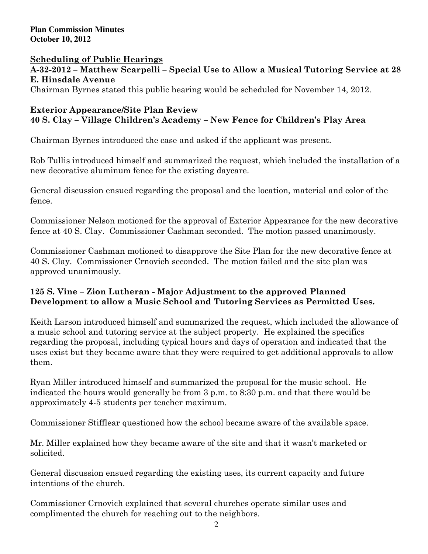### Scheduling of Public Hearings

A-32-2012 – Matthew Scarpelli – Special Use to Allow a Musical Tutoring Service at 28 E. Hinsdale Avenue

Chairman Byrnes stated this public hearing would be scheduled for November 14, 2012.

#### Exterior Appearance/Site Plan Review 40 S. Clay – Village Children's Academy – New Fence for Children's Play Area

Chairman Byrnes introduced the case and asked if the applicant was present.

Rob Tullis introduced himself and summarized the request, which included the installation of a new decorative aluminum fence for the existing daycare.

General discussion ensued regarding the proposal and the location, material and color of the fence.

Commissioner Nelson motioned for the approval of Exterior Appearance for the new decorative fence at 40 S. Clay. Commissioner Cashman seconded. The motion passed unanimously.

Commissioner Cashman motioned to disapprove the Site Plan for the new decorative fence at 40 S. Clay. Commissioner Crnovich seconded. The motion failed and the site plan was approved unanimously.

# 125 S. Vine – Zion Lutheran - Major Adjustment to the approved Planned Development to allow a Music School and Tutoring Services as Permitted Uses.

Keith Larson introduced himself and summarized the request, which included the allowance of a music school and tutoring service at the subject property. He explained the specifics regarding the proposal, including typical hours and days of operation and indicated that the uses exist but they became aware that they were required to get additional approvals to allow them.

Ryan Miller introduced himself and summarized the proposal for the music school. He indicated the hours would generally be from 3 p.m. to 8:30 p.m. and that there would be approximately 4-5 students per teacher maximum.

Commissioner Stifflear questioned how the school became aware of the available space.

Mr. Miller explained how they became aware of the site and that it wasn't marketed or solicited.

General discussion ensued regarding the existing uses, its current capacity and future intentions of the church.

Commissioner Crnovich explained that several churches operate similar uses and complimented the church for reaching out to the neighbors.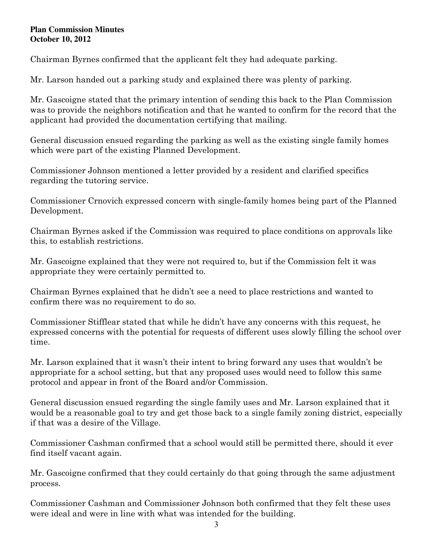Chairman Byrnes confirmed that the applicant felt they had adequate parking.

Mr. Larson handed out a parking study and explained there was plenty of parking.

Mr. Gascoigne stated that the primary intention of sending this back to the Plan Commission was to provide the neighbors notification and that he wanted to confirm for the record that the applicant had provided the documentation certifying that mailing.

General discussion ensued regarding the parking as well as the existing single family homes which were part of the existing Planned Development.

Commissioner Johnson mentioned a letter provided by a resident and clarified specifics regarding the tutoring service.

Commissioner Crnovich expressed concern with single-family homes being part of the Planned Development.

Chairman Byrnes asked if the Commission was required to place conditions on approvals like this, to establish restrictions.

Mr. Gascoigne explained that they were not required to, but if the Commission felt it was appropriate they were certainly permitted to.

Chairman Byrnes explained that he didn't see a need to place restrictions and wanted to confirm there was no requirement to do so.

Commissioner Stifflear stated that while he didn't have any concerns with this request, he expressed concerns with the potential for requests of different uses slowly filling the school over time.

Mr. Larson explained that it wasn't their intent to bring forward any uses that wouldn't be appropriate for a school setting, but that any proposed uses would need to follow this same protocol and appear in front of the Board and/or Commission.

General discussion ensued regarding the single family uses and Mr. Larson explained that it would be a reasonable goal to try and get those back to a single family zoning district, especially if that was a desire of the Village.

Commissioner Cashman confirmed that a school would still be permitted there, should it ever find itself vacant again.

Mr. Gascoigne confirmed that they could certainly do that going through the same adjustment process.

Commissioner Cashman and Commissioner Johnson both confirmed that they felt these uses were ideal and were in line with what was intended for the building.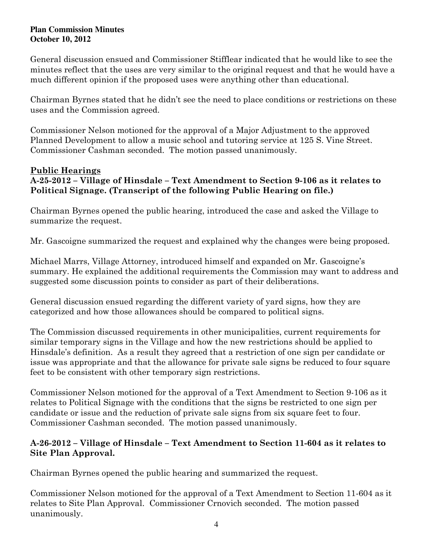General discussion ensued and Commissioner Stifflear indicated that he would like to see the minutes reflect that the uses are very similar to the original request and that he would have a much different opinion if the proposed uses were anything other than educational.

Chairman Byrnes stated that he didn't see the need to place conditions or restrictions on these uses and the Commission agreed.

Commissioner Nelson motioned for the approval of a Major Adjustment to the approved Planned Development to allow a music school and tutoring service at 125 S. Vine Street. Commissioner Cashman seconded. The motion passed unanimously.

# Public Hearings

## A-25-2012 – Village of Hinsdale – Text Amendment to Section 9-106 as it relates to Political Signage. (Transcript of the following Public Hearing on file.)

Chairman Byrnes opened the public hearing, introduced the case and asked the Village to summarize the request.

Mr. Gascoigne summarized the request and explained why the changes were being proposed.

Michael Marrs, Village Attorney, introduced himself and expanded on Mr. Gascoigne's summary. He explained the additional requirements the Commission may want to address and suggested some discussion points to consider as part of their deliberations.

General discussion ensued regarding the different variety of yard signs, how they are categorized and how those allowances should be compared to political signs.

The Commission discussed requirements in other municipalities, current requirements for similar temporary signs in the Village and how the new restrictions should be applied to Hinsdale's definition. As a result they agreed that a restriction of one sign per candidate or issue was appropriate and that the allowance for private sale signs be reduced to four square feet to be consistent with other temporary sign restrictions.

Commissioner Nelson motioned for the approval of a Text Amendment to Section 9-106 as it relates to Political Signage with the conditions that the signs be restricted to one sign per candidate or issue and the reduction of private sale signs from six square feet to four. Commissioner Cashman seconded. The motion passed unanimously.

## A-26-2012 – Village of Hinsdale – Text Amendment to Section 11-604 as it relates to Site Plan Approval.

Chairman Byrnes opened the public hearing and summarized the request.

Commissioner Nelson motioned for the approval of a Text Amendment to Section 11-604 as it relates to Site Plan Approval. Commissioner Crnovich seconded. The motion passed unanimously.